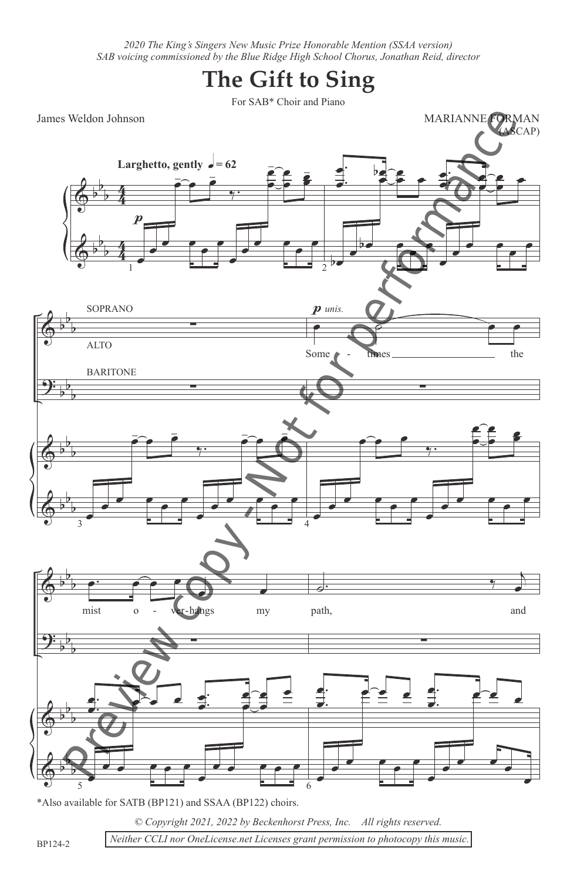*2020 The King's Singers New Music Prize Honorable Mention (SSAA version) SAB voicing commissioned by the Blue Ridge High School Chorus, Jonathan Reid, director*

## **The Gift to Sing**

For SAB\* Choir and Piano

James Weldon Johnson



*© Copyright 2021, 2022 by Beckenhorst Press, Inc. All rights reserved.*

BP124-2

 *Neither CCLI nor OneLicense.net Licenses grant permission to photocopy this music.*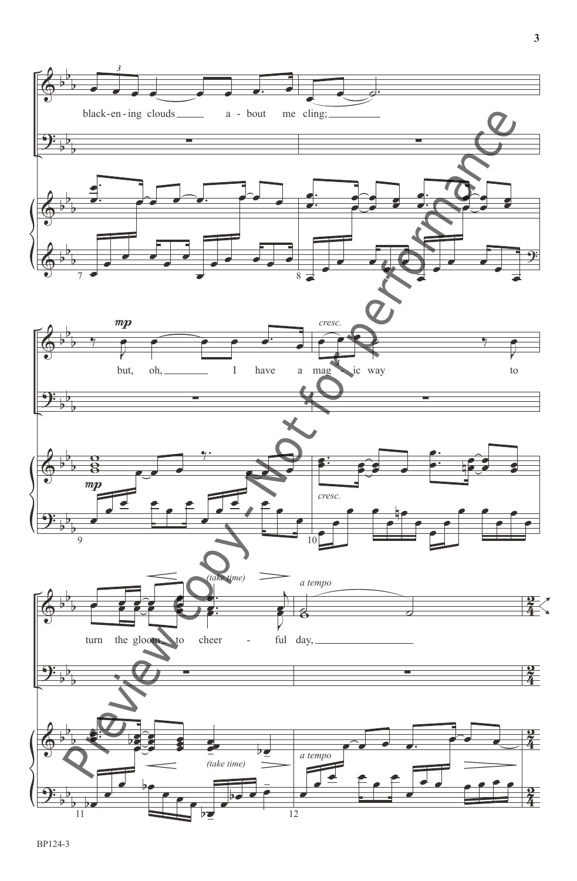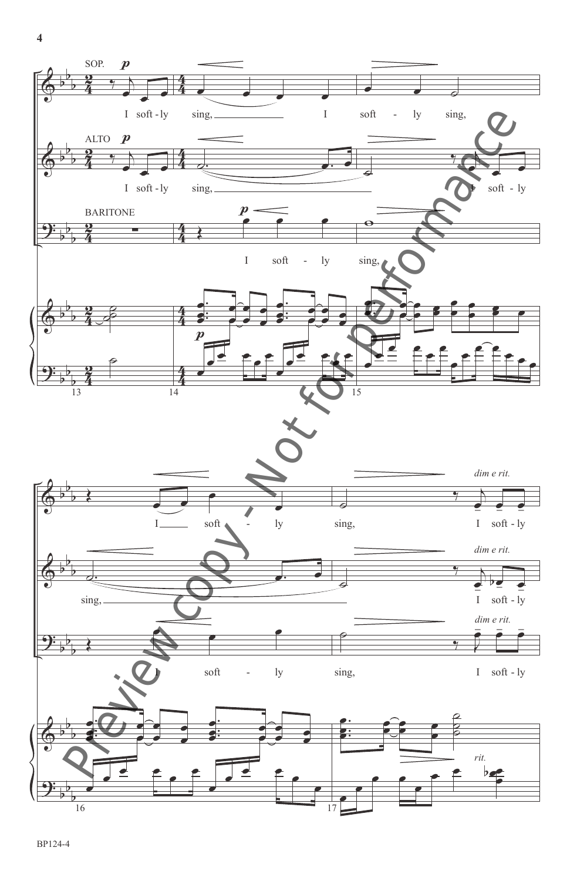

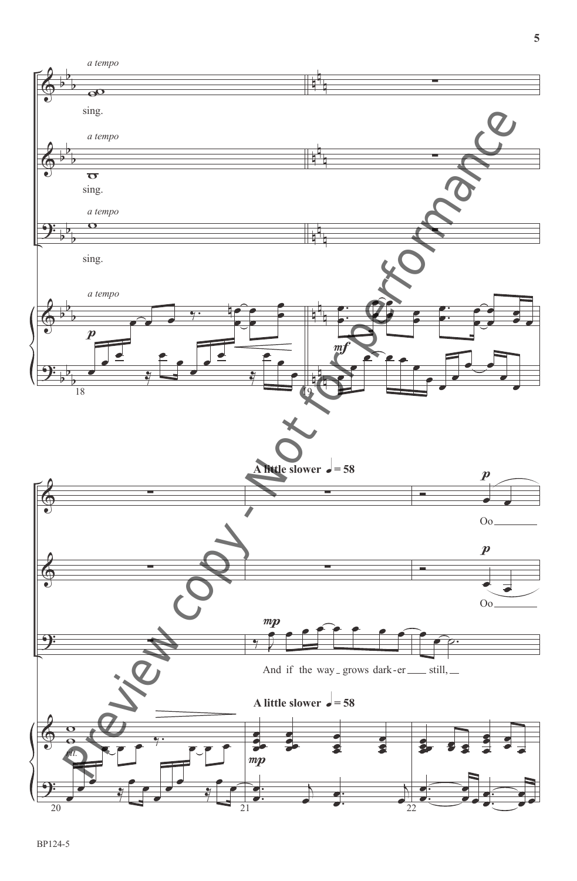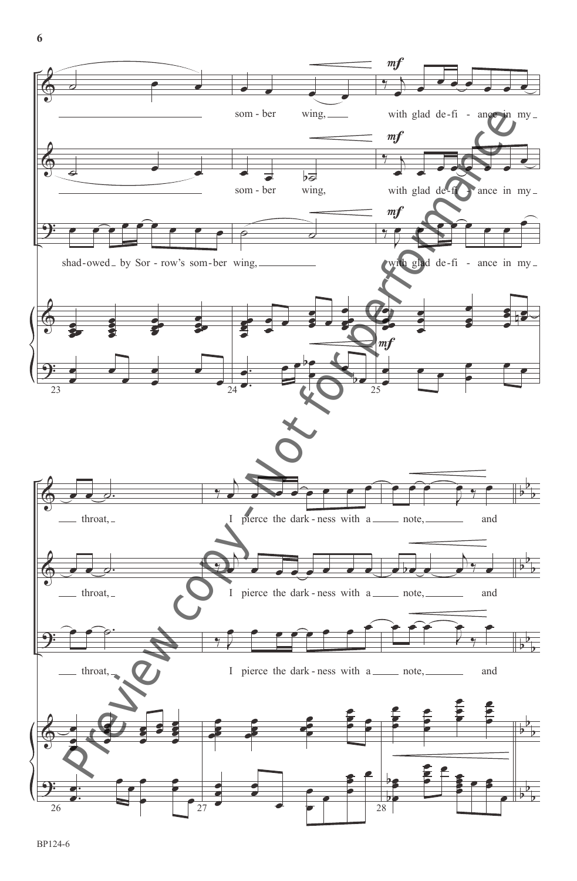

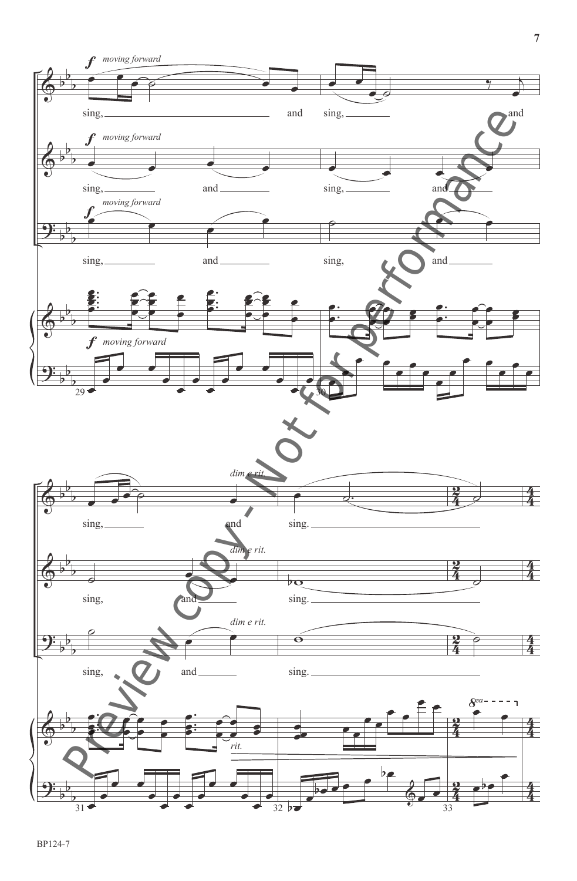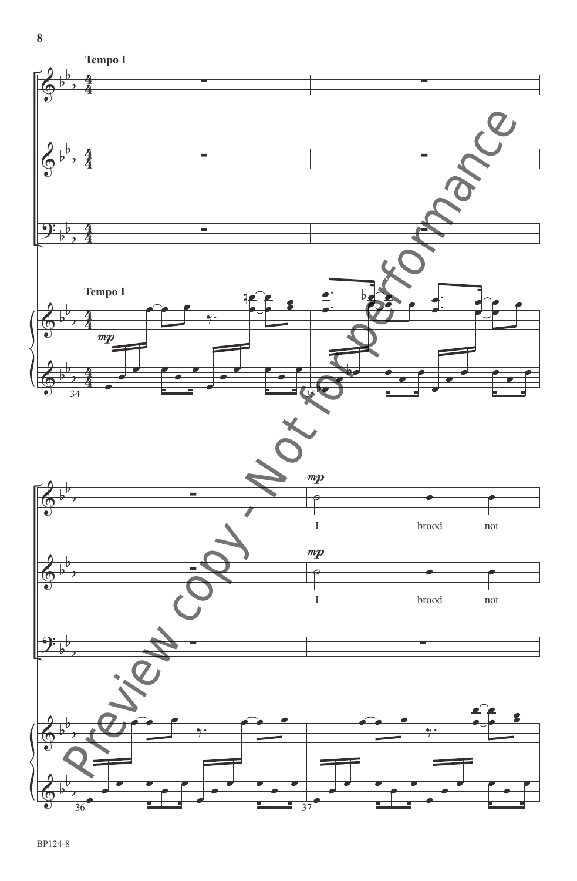

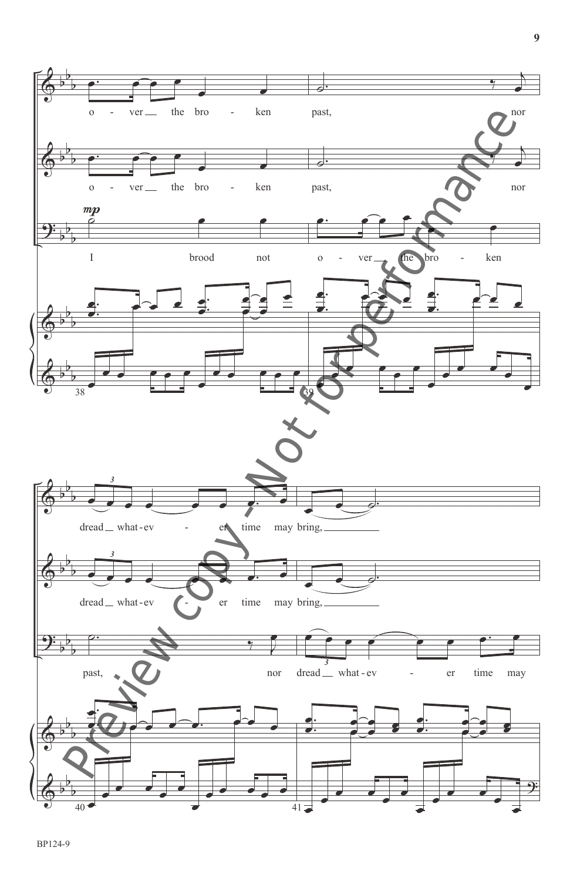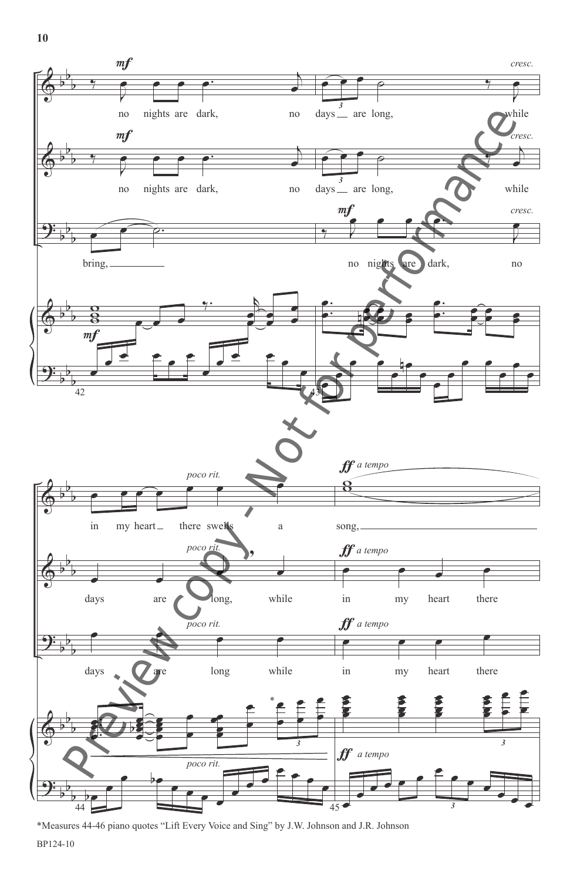**10**



\*Measures 44-46 piano quotes "Lift Every Voice and Sing" by J.W. Johnson and J.R. Johnson

BP124-10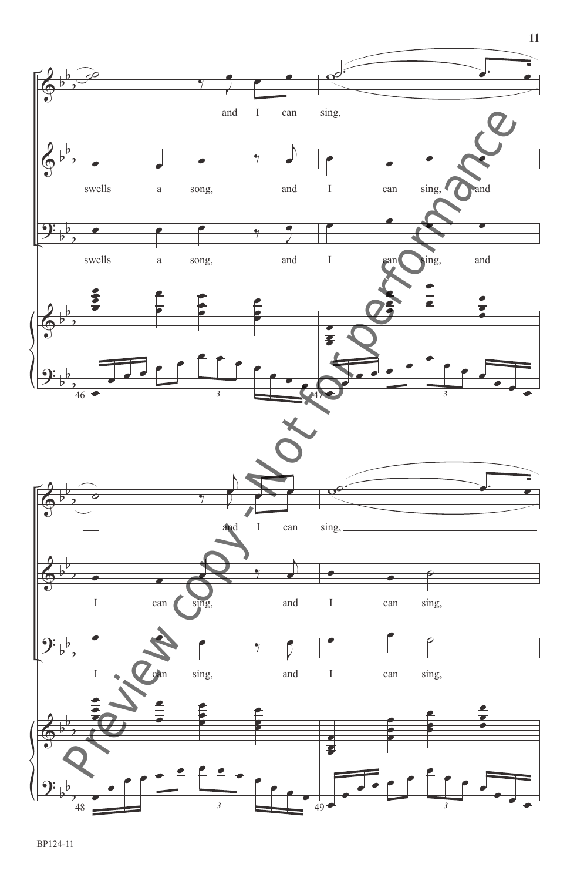